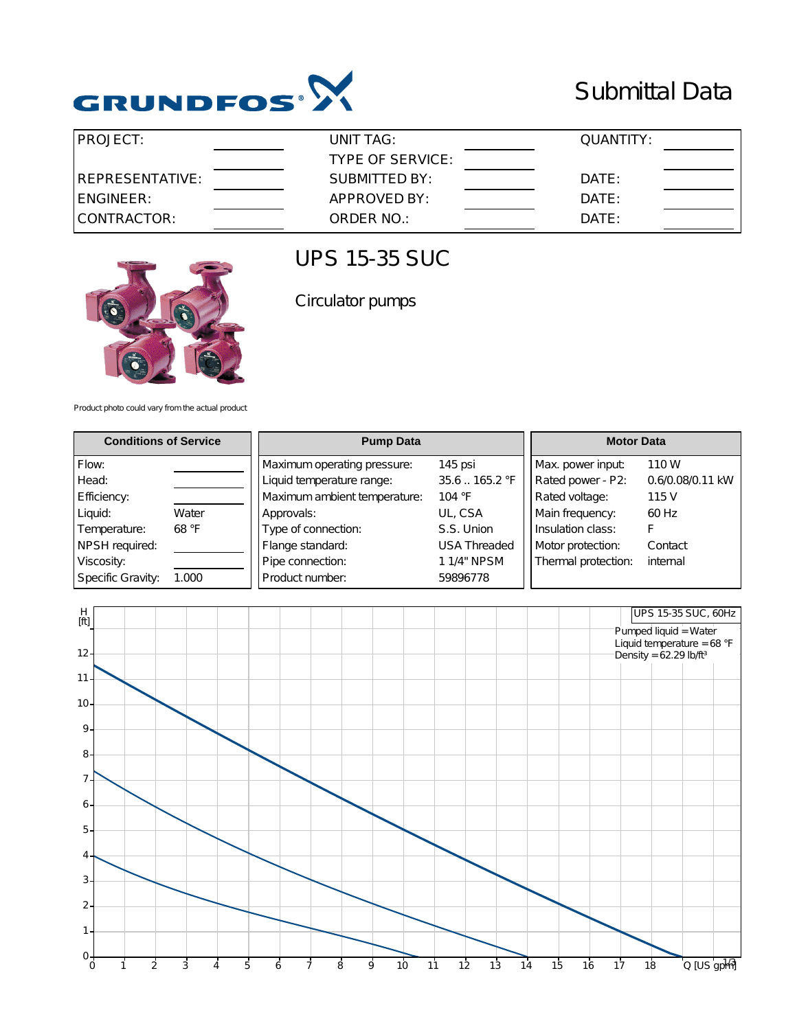

## Submittal Data

| IPROJECT:        | UNIT TAG:        | QUANTITY: |  |
|------------------|------------------|-----------|--|
|                  | TYPE OF SERVICE: |           |  |
| IREPRESENTATIVE: | SUBMITTED BY:    | DATE:     |  |
| IENGINEER:       | APPROVED BY:     | DATE:     |  |
| CONTRACTOR:      | ORDER NO.:       | DATE:     |  |



### UPS 15-35 SUC

Circulator pumps

Product photo could vary from the actual product

| <b>Conditions of Service</b> |       | <b>Pump Data</b>             |                     | <b>Motor Data</b>   |                  |
|------------------------------|-------|------------------------------|---------------------|---------------------|------------------|
| Flow:                        |       | Maximum operating pressure:  | 145 psi             | Max. power input:   | 110 W            |
| Head:                        |       | Liquid temperature range:    | 35.6165.2 °F        | Rated power - P2:   | 0.6/0.08/0.11 kW |
| Efficiency:                  |       | Maximum ambient temperature: | 104 °F              | Rated voltage:      | 115 V            |
| Liquid:                      | Water | Approvals:                   | UL, CSA             | Main frequency:     | 60 Hz            |
| Temperature:                 | 68 °F | Type of connection:          | S.S. Union          | Insulation class:   |                  |
| NPSH required:               |       | Flange standard:             | <b>USA Threaded</b> | Motor protection:   | Contact          |
| Viscosity:                   |       | Pipe connection:             | 1 1/4" NPSM         | Thermal protection: | internal         |
| Specific Gravity:            | 1.000 | Product number:              | 59896778            |                     |                  |

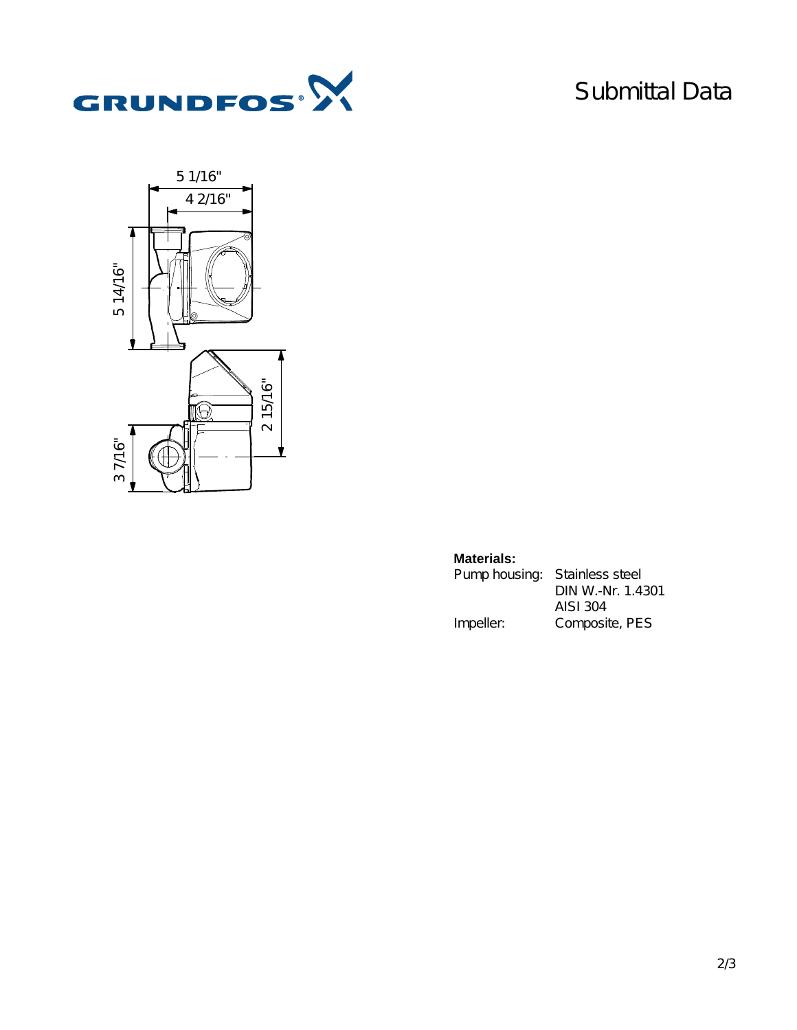

# Submittal Data



#### **Materials:**

| Pump housing: Stainless steel |                   |
|-------------------------------|-------------------|
|                               | DIN W.-Nr. 1.4301 |
|                               | AISI 304          |
| Impeller:                     | Composite, PES    |